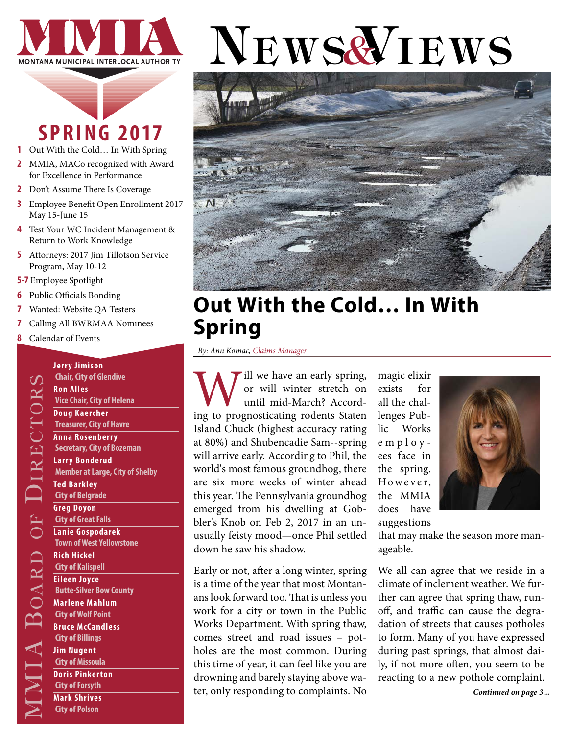

## **SPRING 2017**

- **1** Out With the Cold… In With Spring
- **2** [MMIA, MACo recognized with Award](#page-1-0)  [for Excellence in Performance](#page-1-0)
- **2** [Don't Assume There Is Coverage](#page-1-0)
- **3** [Employee Benefit Open Enrollment 2017](#page-2-0)  [May 15-June 15](#page-2-0)
- **4** [Test Your WC Incident Management &](#page-3-0)  [Return to Work Knowledge](#page-3-0)
- **5** [Attorneys: 2017 Jim Tillotson Service](#page-4-0)  [Program, May 10-12](#page-4-0)
- **5-7** [Employee Spotlight](#page-4-0)
- **6** [Public Officials Bonding](#page-5-0)
- **7** [Wanted: Website QA Testers](#page-6-0)
- **7** [Calling All BWRMAA Nominees](#page-6-0)

**Jerry Jimison Chair, City of Glendive**

**Vice Chair, City of Helena Doug Kaercher Treasurer, City of Havre Anna Rosenberry Secretary, City of Bozeman**

**Larry Bonderud**

**Ted Barkley City of Belgrade Greg Doyon City of Great Falls Lanie Gospodarek Town of West Yellowstone**

**Rich Hickel City of Kalispell Eileen Joyce**

**Butte-Silver Bow County Marlene Mahlum City of Wolf Point Bruce McCandless City of Billings Jim Nugent City of Missoula Doris Pinkerton City of Forsyth Mark Shrives City of Polson**

**Member at Large, City of Shelby** 

**Ron Alles** 

**8** [Calendar of Events](#page-7-0)

# NEWS& IEWS



### **Out With the Cold… In With Spring**

*By: Ann Komac, Claims Manager*

Will we have an early spring,<br>
or will winter stretch on<br>
until mid-March? Accord-<br>
ing to prognosticating rodents Staten or will winter stretch on until mid-March? Accord-Island Chuck (highest accuracy rating at 80%) and Shubencadie Sam--spring will arrive early. According to Phil, the world's most famous groundhog, there are six more weeks of winter ahead this year. The Pennsylvania groundhog emerged from his dwelling at Gobbler's Knob on Feb 2, 2017 in an unusually feisty mood—once Phil settled down he saw his shadow.

Early or not, after a long winter, spring is a time of the year that most Montanans look forward too. That is unless you work for a city or town in the Public Works Department. With spring thaw, comes street and road issues – potholes are the most common. During this time of year, it can feel like you are drowning and barely staying above water, only responding to complaints. No

magic elixir exists for all the challenges Public Works employ ees face in the spring. However, the MMIA does have suggestions



that may make the season more manageable.

We all can agree that we reside in a climate of inclement weather. We further can agree that spring thaw, runoff, and traffic can cause the degradation of streets that causes potholes to form. Many of you have expressed during past springs, that almost daily, if not more often, you seem to be reacting to a new pothole complaint.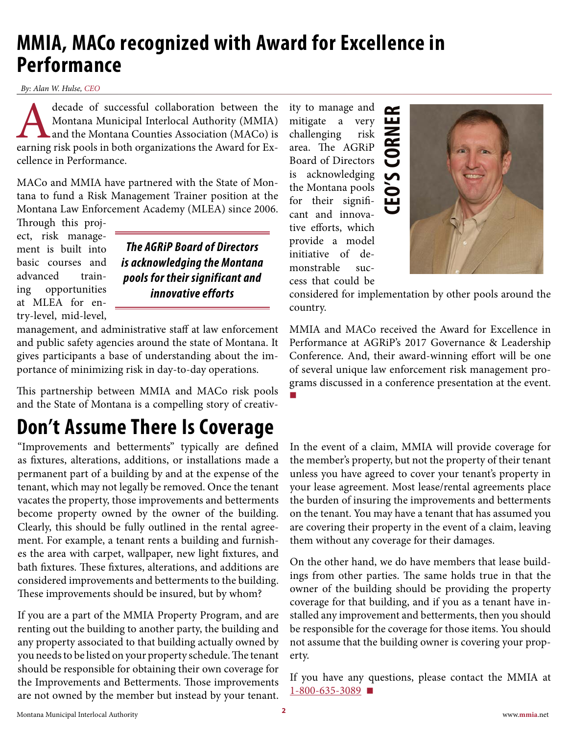### <span id="page-1-0"></span>**MMIA, MACo recognized with Award for Excellence in Performance**

*By: Alan W. Hulse, CEO*

decade of successful collaboration between the Montana Municipal Interlocal Authority (MMIA) and the Montana Counties Association (MACo) is earning risk pools in both organizations the Award for Ex-Montana Municipal Interlocal Authority (MMIA) and the Montana Counties Association (MACo) is cellence in Performance.

MACo and MMIA have partnered with the State of Montana to fund a Risk Management Trainer position at the Montana Law Enforcement Academy (MLEA) since 2006.

Through this project, risk management is built into basic courses and advanced training opportunities at MLEA for entry-level, mid-level,

*The AGRiP Board of Directors is acknowledging the Montana pools for their significant and innovative efforts*

management, and administrative staff at law enforcement and public safety agencies around the state of Montana. It gives participants a base of understanding about the importance of minimizing risk in day-to-day operations.

This partnership between MMIA and MACo risk pools and the State of Montana is a compelling story of creativ-

### **Don't Assume There Is Coverage**

"Improvements and betterments" typically are defined as fixtures, alterations, additions, or installations made a permanent part of a building by and at the expense of the tenant, which may not legally be removed. Once the tenant vacates the property, those improvements and betterments become property owned by the owner of the building. Clearly, this should be fully outlined in the rental agreement. For example, a tenant rents a building and furnishes the area with carpet, wallpaper, new light fixtures, and bath fixtures. These fixtures, alterations, and additions are considered improvements and betterments to the building. These improvements should be insured, but by whom?

If you are a part of the MMIA Property Program, and are renting out the building to another party, the building and any property associated to that building actually owned by you needs to be listed on your property schedule. The tenant should be responsible for obtaining their own coverage for the Improvements and Betterments. Those improvements are not owned by the member but instead by your tenant.

ity to manage and  $\sim$ ūц mitigate a very challenging risk area. The AGRiP Board of Directors is acknowledging the Montana pools for their significant and innovative efforts, which provide a model initiative of demonstrable success that could be



considered for implementation by other pools around the country.

MMIA and MACo received the Award for Excellence in Performance at AGRiP's 2017 Governance & Leadership Conference. And, their award-winning effort will be one of several unique law enforcement risk management programs discussed in a conference presentation at the event. **■**

In the event of a claim, MMIA will provide coverage for the member's property, but not the property of their tenant unless you have agreed to cover your tenant's property in your lease agreement. Most lease/rental agreements place the burden of insuring the improvements and betterments on the tenant. You may have a tenant that has assumed you are covering their property in the event of a claim, leaving them without any coverage for their damages.

On the other hand, we do have members that lease buildings from other parties. The same holds true in that the owner of the building should be providing the property coverage for that building, and if you as a tenant have installed any improvement and betterments, then you should be responsible for the coverage for those items. You should not assume that the building owner is covering your property.

If you have any questions, please contact the MMIA at [1-800-635-3089](tel:1-800-635-3089) **■**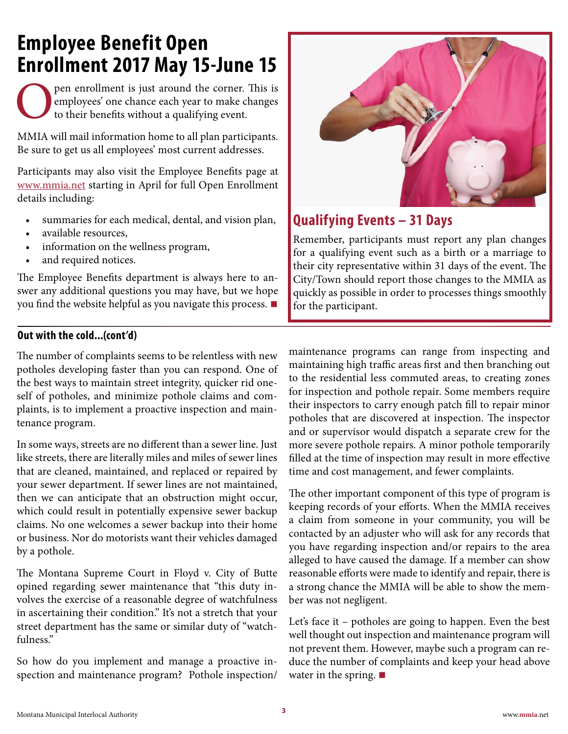### <span id="page-2-0"></span>**Employee Benefit Open Enrollment 2017 May 15-June 15**

pen enrollment is just around the corner. This is employees' one chance each year to make changes to their benefits without a qualifying event.

MMIA will mail information home to all plan participants. Be sure to get us all employees' most current addresses.

Participants may also visit the Employee Benefits page at [www.mmia.net](http://www.mmia.net) starting in April for full Open Enrollment details including:

- summaries for each medical, dental, and vision plan,
- available resources,
- information on the wellness program,
- and required notices.

The Employee Benefits department is always here to answer any additional questions you may have, but we hope you find the website helpful as you navigate this process. **■**

#### **Out with the cold...(cont'd)**

The number of complaints seems to be relentless with new potholes developing faster than you can respond. One of the best ways to maintain street integrity, quicker rid oneself of potholes, and minimize pothole claims and complaints, is to implement a proactive inspection and maintenance program.

In some ways, streets are no different than a sewer line. Just like streets, there are literally miles and miles of sewer lines that are cleaned, maintained, and replaced or repaired by your sewer department. If sewer lines are not maintained, then we can anticipate that an obstruction might occur, which could result in potentially expensive sewer backup claims. No one welcomes a sewer backup into their home or business. Nor do motorists want their vehicles damaged by a pothole.

The Montana Supreme Court in Floyd v. City of Butte opined regarding sewer maintenance that "this duty involves the exercise of a reasonable degree of watchfulness in ascertaining their condition." It's not a stretch that your street department has the same or similar duty of "watchfulness."

So how do you implement and manage a proactive inspection and maintenance program? Pothole inspection/



#### **Qualifying Events – 31 Days**

Remember, participants must report any plan changes for a qualifying event such as a birth or a marriage to their city representative within 31 days of the event. The City/Town should report those changes to the MMIA as quickly as possible in order to processes things smoothly for the participant.

maintenance programs can range from inspecting and maintaining high traffic areas first and then branching out to the residential less commuted areas, to creating zones for inspection and pothole repair. Some members require their inspectors to carry enough patch fill to repair minor potholes that are discovered at inspection. The inspector and or supervisor would dispatch a separate crew for the more severe pothole repairs. A minor pothole temporarily filled at the time of inspection may result in more effective time and cost management, and fewer complaints.

The other important component of this type of program is keeping records of your efforts. When the MMIA receives a claim from someone in your community, you will be contacted by an adjuster who will ask for any records that you have regarding inspection and/or repairs to the area alleged to have caused the damage. If a member can show reasonable efforts were made to identify and repair, there is a strong chance the MMIA will be able to show the member was not negligent.

Let's face it – potholes are going to happen. Even the best well thought out inspection and maintenance program will not prevent them. However, maybe such a program can reduce the number of complaints and keep your head above water in the spring. **■**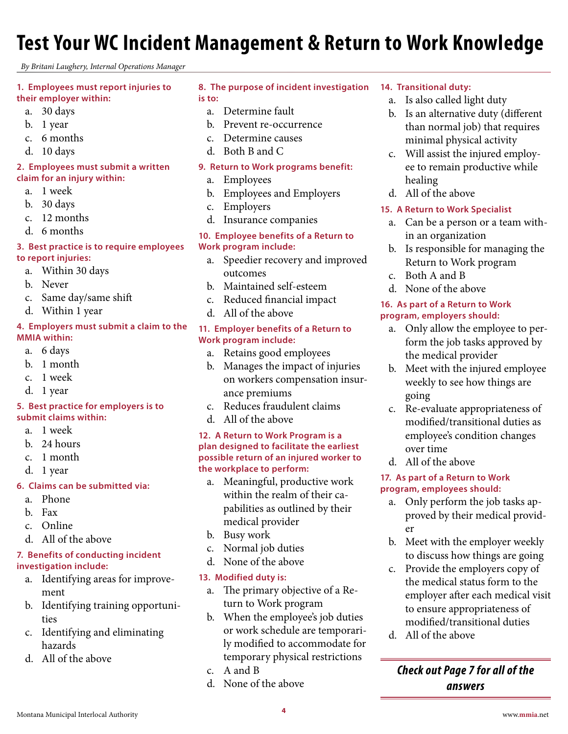### <span id="page-3-0"></span>**Test Your WC Incident Management & Return to Work Knowledge**

*By Britani Laughery, Internal Operations Manager*

#### **1. Employees must report injuries to their employer within:**

- a. 30 days
- b. 1 year
- c. 6 months
- d. 10 days

#### **2. Employees must submit a written claim for an injury within:**

- a. 1 week
- b. 30 days
- c. 12 months
- d. 6 months

#### **3. Best practice is to require employees**

- **to report injuries:**
	- a. Within 30 days
	- b. Never
	- c. Same day/same shift
	- d. Within 1 year

#### **4. Employers must submit a claim to the MMIA within:**

- a. 6 days
- b. 1 month
- c. 1 week
- d. 1 year

#### **5. Best practice for employers is to submit claims within:**

- a. 1 week
- b. 24 hours
- c. 1 month
- d. 1 year

#### **6. Claims can be submitted via:**

- a. Phone
- b. Fax
- c. Online
- d. All of the above

#### **7. Benefits of conducting incident investigation include:**

- a. Identifying areas for improvement
- b. Identifying training opportunities
- c. Identifying and eliminating hazards
- d. All of the above

#### **8. The purpose of incident investigation is to:**

- a. Determine fault
- b. Prevent re-occurrence
- c. Determine causes
- d. Both B and C

#### **9. Return to Work programs benefit:**

- a. Employees b. Employees and Employers
- c. Employers
- d. Insurance companies

#### **10. Employee benefits of a Return to Work program include:**

- a. Speedier recovery and improved outcomes
- b. Maintained self-esteem
- c. Reduced financial impact
- d. All of the above

#### **11. Employer benefits of a Return to Work program include:**

- a. Retains good employees
- b. Manages the impact of injuries on workers compensation insurance premiums
- c. Reduces fraudulent claims
- d. All of the above

#### **12. A Return to Work Program is a plan designed to facilitate the earliest possible return of an injured worker to the workplace to perform:**

- a. Meaningful, productive work within the realm of their capabilities as outlined by their medical provider
- b. Busy work
- c. Normal job duties
- d. None of the above

#### **13. Modified duty is:**

- a. The primary objective of a Return to Work program
- b. When the employee's job duties or work schedule are temporarily modified to accommodate for temporary physical restrictions
- c. A and B
- d. None of the above

#### **14. Transitional duty:**

- a. Is also called light duty
- b. Is an alternative duty (different than normal job) that requires minimal physical activity
- c. Will assist the injured employee to remain productive while healing
- d. All of the above

#### **15. A Return to Work Specialist**

- a. Can be a person or a team within an organization
- b. Is responsible for managing the Return to Work program
- c. Both A and B
- d. None of the above

#### **16. As part of a Return to Work program, employers should:**

- a. Only allow the employee to perform the job tasks approved by the medical provider
- b. Meet with the injured employee weekly to see how things are going
- c. Re-evaluate appropriateness of modified/transitional duties as employee's condition changes over time
- d. All of the above

#### **17. As part of a Return to Work program, employees should:**

- a. Only perform the job tasks approved by their medical provider
- b. Meet with the employer weekly to discuss how things are going
- c. Provide the employers copy of the medical status form to the employer after each medical visit to ensure appropriateness of modified/transitional duties
- d. All of the above

#### *Check out Page 7 for all of the answers*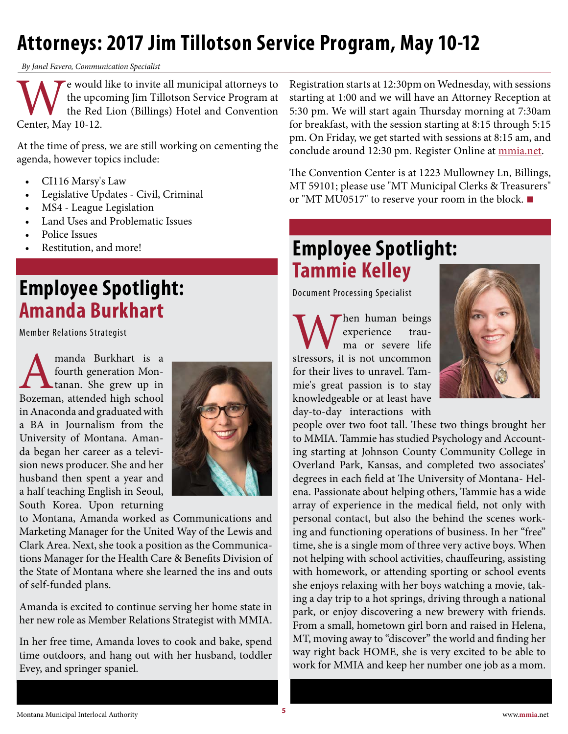### <span id="page-4-0"></span>**Attorneys: 2017 Jim Tillotson Service Program, May 10-12**

*By Janel Favero, Communication Specialist*

We would like to invite all municipal attorneys to<br>the upcoming Jim Tillotson Service Program at<br>the Red Lion (Billings) Hotel and Convention<br>Center, May 10-12. the upcoming Jim Tillotson Service Program at the Red Lion (Billings) Hotel and Convention Center, May 10-12.

At the time of press, we are still working on cementing the agenda, however topics include:

- CI116 Marsy's Law
- Legislative Updates Civil, Criminal
- MS4 League Legislation
- Land Uses and Problematic Issues
- Police Issues
- Restitution, and more!

### **Employee Spotlight: Amanda Burkhart**

Member Relations Strategist

**AMAL EXECUTE ISLEE 18 AMAL EXECUTE 18 AMAL EXECUTE 18 AMAL EXECUTE 18 AMAL EXECUTE 18 AMAL EXECUTE 18 AMAL EXECUTE 18 AMAL EXECUTE 19 AMAL EXECUTE 19 AMAL EXECUTE 19 AMAL EXECUTE 19 AMAL EXECUTE 19 AMAL EXECUTE 19 AMAL EX** fourth generation Montanan. She grew up in in Anaconda and graduated with a BA in Journalism from the University of Montana. Amanda began her career as a television news producer. She and her husband then spent a year and a half teaching English in Seoul, South Korea. Upon returning



to Montana, Amanda worked as Communications and Marketing Manager for the United Way of the Lewis and Clark Area. Next, she took a position as the Communications Manager for the Health Care & Benefits Division of the State of Montana where she learned the ins and outs of self-funded plans.

Amanda is excited to continue serving her home state in her new role as Member Relations Strategist with MMIA.

In her free time, Amanda loves to cook and bake, spend time outdoors, and hang out with her husband, toddler Evey, and springer spaniel.

Registration starts at 12:30pm on Wednesday, with sessions starting at 1:00 and we will have an Attorney Reception at 5:30 pm. We will start again Thursday morning at 7:30am for breakfast, with the session starting at 8:15 through 5:15 pm. On Friday, we get started with sessions at 8:15 am, and conclude around 12:30 pm. Register Online at [mmia.net.](http://mmia.net)

The Convention Center is at 1223 Mullowney Ln, Billings, MT 59101; please use "MT Municipal Clerks & Treasurers" or "MT MU0517" to reserve your room in the block. **■**

### **Employee Spotlight: Tammie Kelley**

Document Processing Specialist

When human beings<br>
experience trau-<br>
stressors, it is not uncommon experience trauma or severe life for their lives to unravel. Tammie's great passion is to stay knowledgeable or at least have day-to-day interactions with



people over two foot tall. These two things brought her to MMIA. Tammie has studied Psychology and Accounting starting at Johnson County Community College in Overland Park, Kansas, and completed two associates' degrees in each field at The University of Montana- Helena. Passionate about helping others, Tammie has a wide array of experience in the medical field, not only with personal contact, but also the behind the scenes working and functioning operations of business. In her "free" time, she is a single mom of three very active boys. When not helping with school activities, chauffeuring, assisting with homework, or attending sporting or school events she enjoys relaxing with her boys watching a movie, taking a day trip to a hot springs, driving through a national park, or enjoy discovering a new brewery with friends. From a small, hometown girl born and raised in Helena, MT, moving away to "discover" the world and finding her way right back HOME, she is very excited to be able to work for MMIA and keep her number one job as a mom.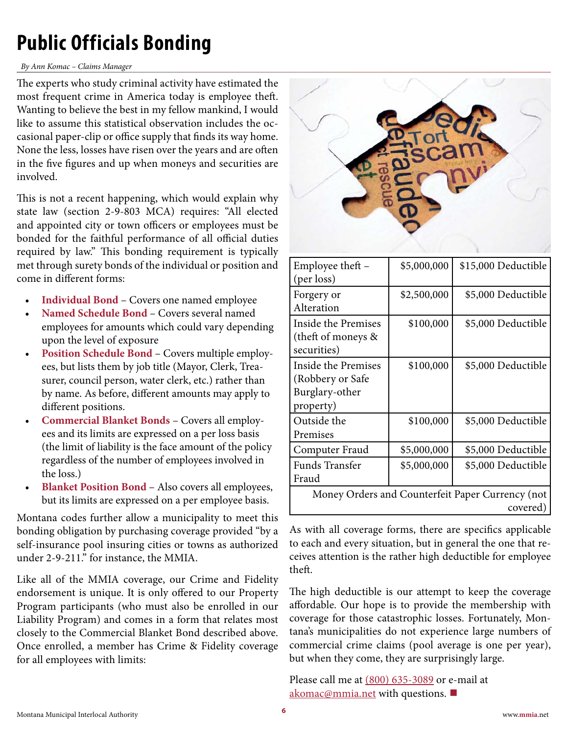### <span id="page-5-0"></span>**Public Officials Bonding**

#### *By Ann Komac – Claims Manager*

The experts who study criminal activity have estimated the most frequent crime in America today is employee theft. Wanting to believe the best in my fellow mankind, I would like to assume this statistical observation includes the occasional paper-clip or office supply that finds its way home. None the less, losses have risen over the years and are often in the five figures and up when moneys and securities are involved.

This is not a recent happening, which would explain why state law (section 2-9-803 MCA) requires: "All elected and appointed city or town officers or employees must be bonded for the faithful performance of all official duties required by law." This bonding requirement is typically met through surety bonds of the individual or position and come in different forms:

- **Individual Bond** Covers one named employee
- **Named Schedule Bond**  Covers several named employees for amounts which could vary depending upon the level of exposure
- **Position Schedule Bond** Covers multiple employees, but lists them by job title (Mayor, Clerk, Treasurer, council person, water clerk, etc.) rather than by name. As before, different amounts may apply to different positions.
- **Commercial Blanket Bonds** Covers all employees and its limits are expressed on a per loss basis (the limit of liability is the face amount of the policy regardless of the number of employees involved in the loss.)
- **Blanket Position Bond**  Also covers all employees, but its limits are expressed on a per employee basis.

Montana codes further allow a municipality to meet this bonding obligation by purchasing coverage provided "by a self-insurance pool insuring cities or towns as authorized under 2-9-211." for instance, the MMIA.

Like all of the MMIA coverage, our Crime and Fidelity endorsement is unique. It is only offered to our Property Program participants (who must also be enrolled in our Liability Program) and comes in a form that relates most closely to the Commercial Blanket Bond described above. Once enrolled, a member has Crime & Fidelity coverage for all employees with limits:



| Employee theft –<br>(per loss)                                                | \$5,000,000 | \$15,000 Deductible |
|-------------------------------------------------------------------------------|-------------|---------------------|
| Forgery or<br>Alteration                                                      | \$2,500,000 | \$5,000 Deductible  |
| Inside the Premises<br>(theft of moneys &<br>securities)                      | \$100,000   | \$5,000 Deductible  |
| <b>Inside the Premises</b><br>(Robbery or Safe<br>Burglary-other<br>property) | \$100,000   | \$5,000 Deductible  |
| Outside the<br>Premises                                                       | \$100,000   | \$5,000 Deductible  |
| Computer Fraud                                                                | \$5,000,000 | \$5,000 Deductible  |
| <b>Funds Transfer</b><br>Fraud                                                | \$5,000,000 | \$5,000 Deductible  |
| Money Orders and Counterfeit Paper Currency (not<br>covered)                  |             |                     |

As with all coverage forms, there are specifics applicable to each and every situation, but in general the one that receives attention is the rather high deductible for employee theft.

The high deductible is our attempt to keep the coverage affordable. Our hope is to provide the membership with coverage for those catastrophic losses. Fortunately, Montana's municipalities do not experience large numbers of commercial crime claims (pool average is one per year), but when they come, they are surprisingly large.

[Please call me at \(](mailto:akomac%40mmia.net?subject=)[800\) 635-3089](mailto:tel:%28800%29%20635-3089?subject=) or e-mail at akomac@mmia.net with questions. **■**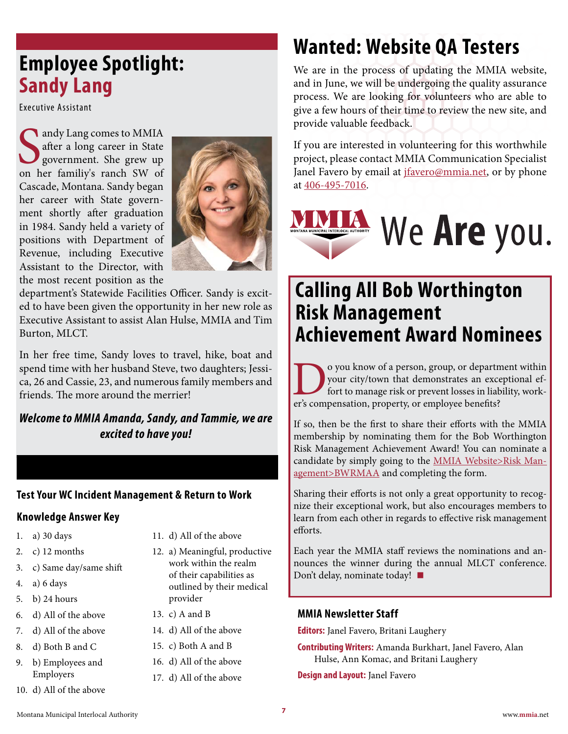### <span id="page-6-0"></span>**Employee Spotlight: Sandy Lang**

Executive Assistant

andy Lang comes to MMIA<br>
after a long career in State<br>
government. She grew up<br>
on her familiy's ranch SW of andy Lang comes to MMIA after a long career in State government. She grew up Cascade, Montana. Sandy began her career with State government shortly after graduation in 1984. Sandy held a variety of positions with Department of Revenue, including Executive Assistant to the Director, with the most recent position as the



department's Statewide Facilities Officer. Sandy is excited to have been given the opportunity in her new role as Executive Assistant to assist Alan Hulse, MMIA and Tim Burton, MLCT.

In her free time, Sandy loves to travel, hike, boat and spend time with her husband Steve, two daughters; Jessica, 26 and Cassie, 23, and numerous family members and friends. The more around the merrier!

#### *Welcome to MMIA Amanda, Sandy, and Tammie, we are excited to have you!*

#### **Test Your WC Incident Management & Return to Work**

#### **Knowledge Answer Key**

- 1. a) 30 days
- 2. c) 12 months
- 3. c) Same day/same shift
- 4. a) 6 days
- 5. b) 24 hours
- 6. d) All of the above
- 7. d) All of the above
- 8. d) Both B and C
- 9. b) Employees and Employers
- 10. d) All of the above
- 11. d) All of the above
- 12. a) Meaningful, productive work within the realm of their capabilities as outlined by their medical provider
- 13. c) A and B
- 14. d) All of the above
- 15. c) Both A and B
- 16. d) All of the above
- 17. d) All of the above

### **Wanted: Website QA Testers**

We are in the process of updating the MMIA website, and in June, we will be undergoing the quality assurance process. We are looking for volunteers who are able to give a few hours of their time to review the new site, and provide valuable feedback.

If you are interested in volunteering for this worthwhile project, please contact MMIA Communication Specialist Janel Favero by email at *jfavero@mmia.net*, or by phone at [406-495-7016.](mailto:tel:406-495-7016?subject=)

### We Are you. UNICIPAL INTERLOCAL AUTHORITY

### **Calling All Bob Worthington Risk Management Achievement Award Nominees**

O you know of a person, group, or department within<br>your city/town that demonstrates an exceptional ef-<br>fort to manage risk or prevent losses in liability, work-<br>er's compensation, property, or employee benefits? your city/town that demonstrates an exceptional effort to manage risk or prevent losses in liability, worker's compensation, property, or employee benefits?

If so, then be the first to share their efforts with the MMIA membership by nominating them for the Bob Worthington Risk Management Achievement Award! You can nominate a candidate by simply going to the [MMIA Website>Risk Man](http://mmia.net/RiskManagement/BWRMAA/tabid/263/Default.aspx)[agement>BWRMAA](http://mmia.net/RiskManagement/BWRMAA/tabid/263/Default.aspx) and completing the form.

Sharing their efforts is not only a great opportunity to recognize their exceptional work, but also encourages members to learn from each other in regards to effective risk management efforts.

Each year the MMIA staff reviews the nominations and announces the winner during the annual MLCT conference. Don't delay, nominate today! **■**

#### **MMIA Newsletter Staff**

**Editors:** Janel Favero, Britani Laughery

- **Contributing Writers:** Amanda Burkhart, Janel Favero, Alan Hulse, Ann Komac, and Britani Laughery
- **Design and Layout:** Janel Favero